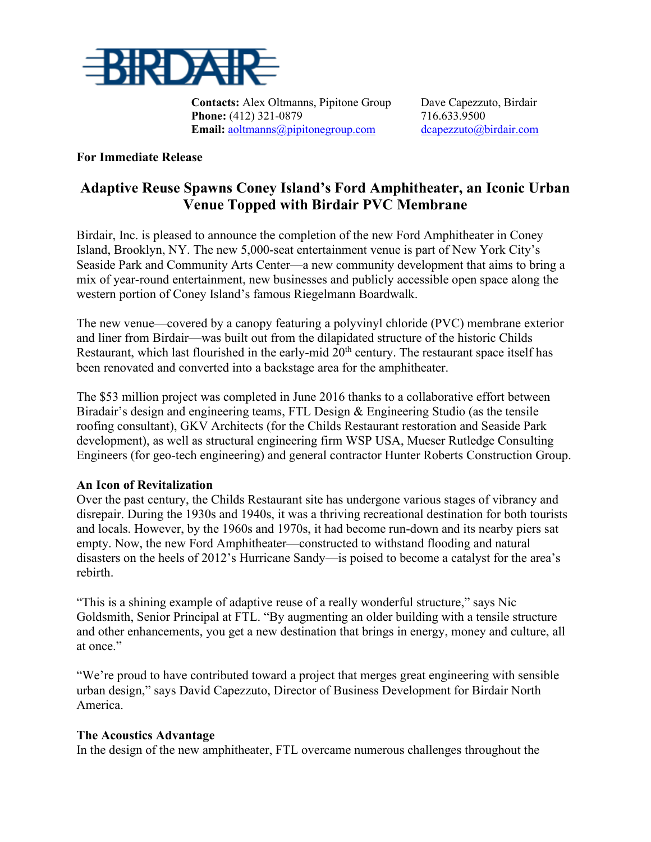

**Contacts:** Alex Oltmanns, Pipitone Group Dave Capezzuto, Birdair **Phone:** (412) 321-0879 716.633.9500 **Email:** [aoltmanns@pipitonegroup.com](mailto:aoltmanns@pipitonegroup.com) dcapezzuto@birdair.com

### **For Immediate Release**

# **Adaptive Reuse Spawns Coney Island's Ford Amphitheater, an Iconic Urban Venue Topped with Birdair PVC Membrane**

Birdair, Inc. is pleased to announce the completion of the new Ford Amphitheater in Coney Island, Brooklyn, NY. The new 5,000-seat entertainment venue is part of New York City's Seaside Park and Community Arts Center—a new community development that aims to bring a mix of year-round entertainment, new businesses and publicly accessible open space along the western portion of Coney Island's famous Riegelmann Boardwalk.

The new venue—covered by a canopy featuring a polyvinyl chloride (PVC) membrane exterior and liner from Birdair—was built out from the dilapidated structure of the historic Childs Restaurant, which last flourished in the early-mid  $20<sup>th</sup>$  century. The restaurant space itself has been renovated and converted into a backstage area for the amphitheater.

The \$53 million project was completed in June 2016 thanks to a collaborative effort between Biradair's design and engineering teams, FTL Design & Engineering Studio (as the tensile roofing consultant), GKV Architects (for the Childs Restaurant restoration and Seaside Park development), as well as structural engineering firm WSP USA, Mueser Rutledge Consulting Engineers (for geo-tech engineering) and general contractor Hunter Roberts Construction Group.

### **An Icon of Revitalization**

Over the past century, the Childs Restaurant site has undergone various stages of vibrancy and disrepair. During the 1930s and 1940s, it was a thriving recreational destination for both tourists and locals. However, by the 1960s and 1970s, it had become run-down and its nearby piers sat empty. Now, the new Ford Amphitheater—constructed to withstand flooding and natural disasters on the heels of 2012's Hurricane Sandy—is poised to become a catalyst for the area's rebirth.

"This is a shining example of adaptive reuse of a really wonderful structure," says Nic Goldsmith, Senior Principal at FTL. "By augmenting an older building with a tensile structure and other enhancements, you get a new destination that brings in energy, money and culture, all at once."

"We're proud to have contributed toward a project that merges great engineering with sensible urban design," says David Capezzuto, Director of Business Development for Birdair North America.

### **The Acoustics Advantage**

In the design of the new amphitheater, FTL overcame numerous challenges throughout the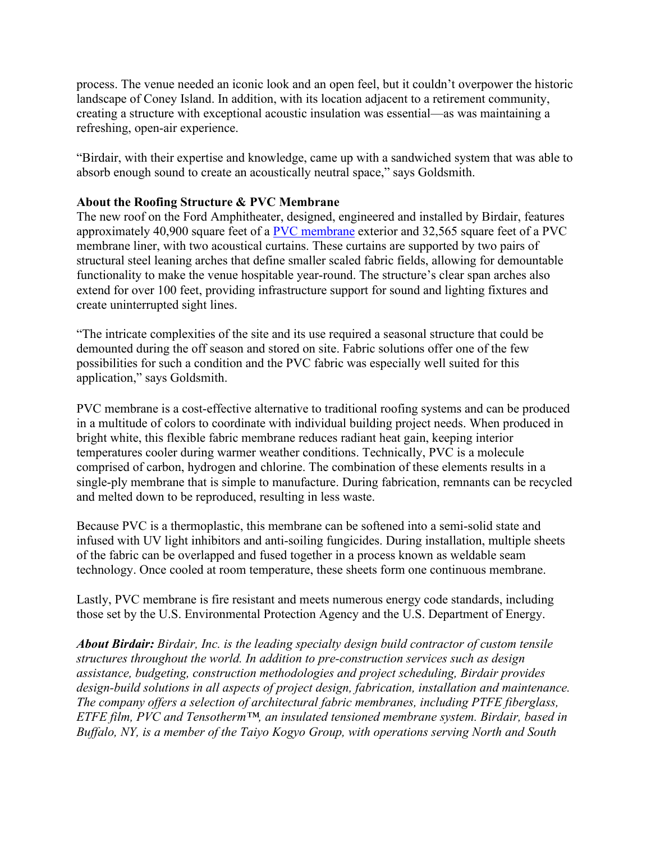process. The venue needed an iconic look and an open feel, but it couldn't overpower the historic landscape of Coney Island. In addition, with its location adjacent to a retirement community, creating a structure with exceptional acoustic insulation was essential—as was maintaining a refreshing, open-air experience.

"Birdair, with their expertise and knowledge, came up with a sandwiched system that was able to absorb enough sound to create an acoustically neutral space," says Goldsmith.

## **About the Roofing Structure & PVC Membrane**

The new roof on the Ford Amphitheater, designed, engineered and installed by Birdair, features approximately 40,900 square feet of a [PVC membrane](http://www.birdair.com/tensile-architecture/membrane/pvc?utm_source=vocus&utm_medium=press-release&utm_content=gran-carpa-project&utm_campaign=2015-public-relations) exterior and 32,565 square feet of a PVC membrane liner, with two acoustical curtains. These curtains are supported by two pairs of structural steel leaning arches that define smaller scaled fabric fields, allowing for demountable functionality to make the venue hospitable year-round. The structure's clear span arches also extend for over 100 feet, providing infrastructure support for sound and lighting fixtures and create uninterrupted sight lines.

"The intricate complexities of the site and its use required a seasonal structure that could be demounted during the off season and stored on site. Fabric solutions offer one of the few possibilities for such a condition and the PVC fabric was especially well suited for this application," says Goldsmith.

PVC membrane is a cost-effective alternative to traditional roofing systems and can be produced in a multitude of colors to coordinate with individual building project needs. When produced in bright white, this flexible fabric membrane reduces radiant heat gain, keeping interior temperatures cooler during warmer weather conditions. Technically, PVC is a molecule comprised of carbon, hydrogen and chlorine. The combination of these elements results in a single-ply membrane that is simple to manufacture. During fabrication, remnants can be recycled and melted down to be reproduced, resulting in less waste.

Because PVC is a thermoplastic, this membrane can be softened into a semi-solid state and infused with UV light inhibitors and anti-soiling fungicides. During installation, multiple sheets of the fabric can be overlapped and fused together in a process known as weldable seam technology. Once cooled at room temperature, these sheets form one continuous membrane.

Lastly, PVC membrane is fire resistant and meets numerous energy code standards, including those set by the U.S. Environmental Protection Agency and the U.S. Department of Energy.

*About Birdair: Birdair, Inc. is the leading specialty design build contractor of custom tensile structures throughout the world. In addition to pre-construction services such as design assistance, budgeting, construction methodologies and project scheduling, Birdair provides design-build solutions in all aspects of project design, fabrication, installation and maintenance. The company offers a selection of architectural fabric membranes, including PTFE fiberglass, ETFE film, PVC and Tensotherm™, an insulated tensioned membrane system. Birdair, based in Buffalo, NY, is a member of the Taiyo Kogyo Group, with operations serving North and South*